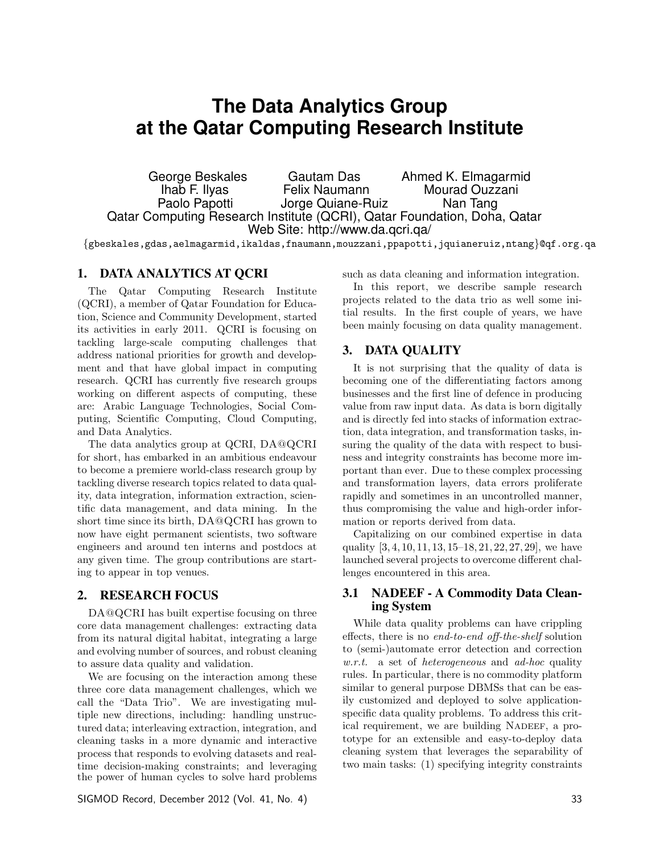# **The Data Analytics Group at the Qatar Computing Research Institute**

George Beskales Gautam Das Ahmed K. Elmagarmid Ihab F. Ilyas Felix Naumann Mourad Ouzzani<br>Paolo Papotti Paolo Papotti de Morge Quiane-Ruiz Nan Tang Jorge Quiane-Ruiz Nan Tang Qatar Computing Research Institute (QCRI), Qatar Foundation, Doha, Qatar Web Site: http://www.da.qcri.qa/

{gbeskales,gdas,aelmagarmid,ikaldas,fnaumann,mouzzani,ppapotti,jquianeruiz,ntang}@qf.org.qa

### 1. DATA ANALYTICS AT QCRI

The Qatar Computing Research Institute (QCRI), a member of Qatar Foundation for Education, Science and Community Development, started its activities in early 2011. QCRI is focusing on tackling large-scale computing challenges that address national priorities for growth and development and that have global impact in computing research. QCRI has currently five research groups working on different aspects of computing, these are: Arabic Language Technologies, Social Computing, Scientific Computing, Cloud Computing, and Data Analytics.

The data analytics group at QCRI, DA@QCRI for short, has embarked in an ambitious endeavour to become a premiere world-class research group by tackling diverse research topics related to data quality, data integration, information extraction, scientific data management, and data mining. In the short time since its birth, DA@QCRI has grown to now have eight permanent scientists, two software engineers and around ten interns and postdocs at any given time. The group contributions are starting to appear in top venues.

## 2. RESEARCH FOCUS

DA@QCRI has built expertise focusing on three core data management challenges: extracting data from its natural digital habitat, integrating a large and evolving number of sources, and robust cleaning to assure data quality and validation.

We are focusing on the interaction among these three core data management challenges, which we call the "Data Trio". We are investigating multiple new directions, including: handling unstructured data; interleaving extraction, integration, and cleaning tasks in a more dynamic and interactive process that responds to evolving datasets and realtime decision-making constraints; and leveraging the power of human cycles to solve hard problems

SIGMOD Record, December 2012 (Vol. 41, No. 4) 33

such as data cleaning and information integration.

In this report, we describe sample research projects related to the data trio as well some initial results. In the first couple of years, we have been mainly focusing on data quality management.

## 3. DATA QUALITY

It is not surprising that the quality of data is becoming one of the differentiating factors among businesses and the first line of defence in producing value from raw input data. As data is born digitally and is directly fed into stacks of information extraction, data integration, and transformation tasks, insuring the quality of the data with respect to business and integrity constraints has become more important than ever. Due to these complex processing and transformation layers, data errors proliferate rapidly and sometimes in an uncontrolled manner, thus compromising the value and high-order information or reports derived from data.

Capitalizing on our combined expertise in data quality [3, 4, 10, 11, 13, 15–18, 21, 22, 27, 29], we have launched several projects to overcome different challenges encountered in this area.

#### 3.1 NADEEF - A Commodity Data Cleaning System

While data quality problems can have crippling effects, there is no end-to-end off-the-shelf solution to (semi-)automate error detection and correction  $w.r.t.$  a set of *heterogeneous* and *ad-hoc* quality rules. In particular, there is no commodity platform similar to general purpose DBMSs that can be easily customized and deployed to solve applicationspecific data quality problems. To address this critical requirement, we are building NADEEF, a prototype for an extensible and easy-to-deploy data cleaning system that leverages the separability of two main tasks: (1) specifying integrity constraints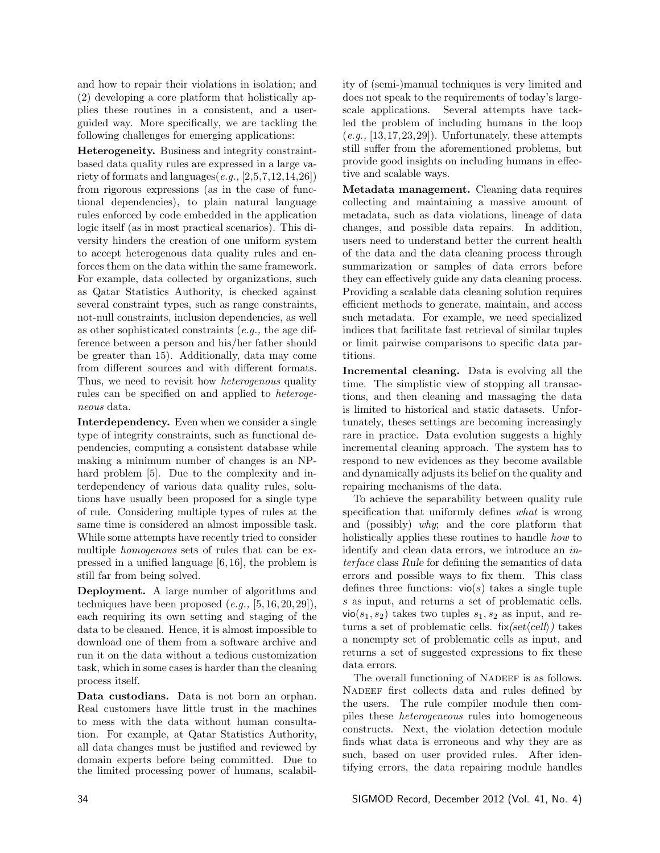and how to repair their violations in isolation; and (2) developing a core platform that holistically applies these routines in a consistent, and a userguided way. More specifically, we are tackling the following challenges for emerging applications:

Heterogeneity. Business and integrity constraintbased data quality rules are expressed in a large variety of formats and languages $(e.g., [2,5,7,12,14,26])$ from rigorous expressions (as in the case of functional dependencies), to plain natural language rules enforced by code embedded in the application logic itself (as in most practical scenarios). This diversity hinders the creation of one uniform system to accept heterogenous data quality rules and enforces them on the data within the same framework. For example, data collected by organizations, such as Qatar Statistics Authority, is checked against several constraint types, such as range constraints, not-null constraints, inclusion dependencies, as well as other sophisticated constraints (e.g., the age difference between a person and his/her father should be greater than 15). Additionally, data may come from different sources and with different formats. Thus, we need to revisit how *heterogenous* quality rules can be specified on and applied to heterogeneous data.

Interdependency. Even when we consider a single type of integrity constraints, such as functional dependencies, computing a consistent database while making a minimum number of changes is an NPhard problem [5]. Due to the complexity and interdependency of various data quality rules, solutions have usually been proposed for a single type of rule. Considering multiple types of rules at the same time is considered an almost impossible task. While some attempts have recently tried to consider multiple homogenous sets of rules that can be expressed in a unified language [6, 16], the problem is still far from being solved.

Deployment. A large number of algorithms and techniques have been proposed  $(e.g., [5, 16, 20, 29]),$ each requiring its own setting and staging of the data to be cleaned. Hence, it is almost impossible to download one of them from a software archive and run it on the data without a tedious customization task, which in some cases is harder than the cleaning process itself.

Data custodians. Data is not born an orphan. Real customers have little trust in the machines to mess with the data without human consultation. For example, at Qatar Statistics Authority, all data changes must be justified and reviewed by domain experts before being committed. Due to the limited processing power of humans, scalability of (semi-)manual techniques is very limited and does not speak to the requirements of today's largescale applications. Several attempts have tackled the problem of including humans in the loop  $(e.g., [13, 17, 23, 29])$ . Unfortunately, these attempts still suffer from the aforementioned problems, but provide good insights on including humans in effective and scalable ways.

Metadata management. Cleaning data requires collecting and maintaining a massive amount of metadata, such as data violations, lineage of data changes, and possible data repairs. In addition, users need to understand better the current health of the data and the data cleaning process through summarization or samples of data errors before they can effectively guide any data cleaning process. Providing a scalable data cleaning solution requires efficient methods to generate, maintain, and access such metadata. For example, we need specialized indices that facilitate fast retrieval of similar tuples or limit pairwise comparisons to specific data partitions.

Incremental cleaning. Data is evolving all the time. The simplistic view of stopping all transactions, and then cleaning and massaging the data is limited to historical and static datasets. Unfortunately, theses settings are becoming increasingly rare in practice. Data evolution suggests a highly incremental cleaning approach. The system has to respond to new evidences as they become available and dynamically adjusts its belief on the quality and repairing mechanisms of the data.

To achieve the separability between quality rule specification that uniformly defines what is wrong and (possibly) why; and the core platform that holistically applies these routines to handle *how* to identify and clean data errors, we introduce an interface class Rule for defining the semantics of data errors and possible ways to fix them. This class defines three functions:  $vio(s)$  takes a single tuple s as input, and returns a set of problematic cells.  $vio(s_1, s_2)$  takes two tuples  $s_1, s_2$  as input, and returns a set of problematic cells.  $fix(set\langle cell \rangle)$  takes a nonempty set of problematic cells as input, and returns a set of suggested expressions to fix these data errors.

The overall functioning of NADEEF is as follows. NADEEF first collects data and rules defined by the users. The rule compiler module then compiles these heterogeneous rules into homogeneous constructs. Next, the violation detection module finds what data is erroneous and why they are as such, based on user provided rules. After identifying errors, the data repairing module handles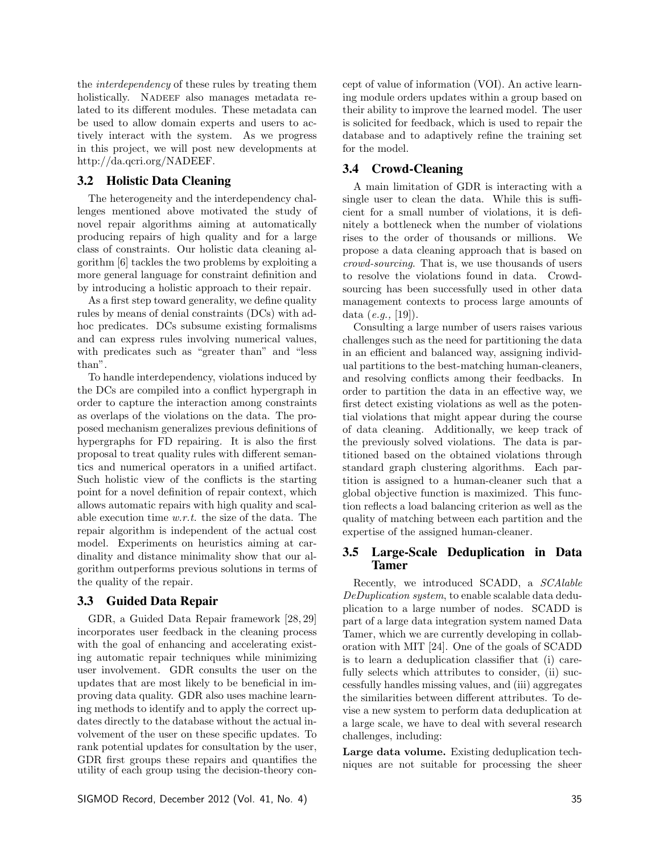the interdependency of these rules by treating them holistically. NADEEF also manages metadata related to its different modules. These metadata can be used to allow domain experts and users to actively interact with the system. As we progress in this project, we will post new developments at http://da.qcri.org/NADEEF.

#### 3.2 Holistic Data Cleaning

The heterogeneity and the interdependency challenges mentioned above motivated the study of novel repair algorithms aiming at automatically producing repairs of high quality and for a large class of constraints. Our holistic data cleaning algorithm [6] tackles the two problems by exploiting a more general language for constraint definition and by introducing a holistic approach to their repair.

As a first step toward generality, we define quality rules by means of denial constraints (DCs) with adhoc predicates. DCs subsume existing formalisms and can express rules involving numerical values, with predicates such as "greater than" and "less than".

To handle interdependency, violations induced by the DCs are compiled into a conflict hypergraph in order to capture the interaction among constraints as overlaps of the violations on the data. The proposed mechanism generalizes previous definitions of hypergraphs for FD repairing. It is also the first proposal to treat quality rules with different semantics and numerical operators in a unified artifact. Such holistic view of the conflicts is the starting point for a novel definition of repair context, which allows automatic repairs with high quality and scalable execution time w.r.t. the size of the data. The repair algorithm is independent of the actual cost model. Experiments on heuristics aiming at cardinality and distance minimality show that our algorithm outperforms previous solutions in terms of the quality of the repair.

## 3.3 Guided Data Repair

GDR, a Guided Data Repair framework [28, 29] incorporates user feedback in the cleaning process with the goal of enhancing and accelerating existing automatic repair techniques while minimizing user involvement. GDR consults the user on the updates that are most likely to be beneficial in improving data quality. GDR also uses machine learning methods to identify and to apply the correct updates directly to the database without the actual involvement of the user on these specific updates. To rank potential updates for consultation by the user, GDR first groups these repairs and quantifies the utility of each group using the decision-theory con-

cept of value of information (VOI). An active learning module orders updates within a group based on their ability to improve the learned model. The user is solicited for feedback, which is used to repair the database and to adaptively refine the training set for the model.

## 3.4 Crowd-Cleaning

A main limitation of GDR is interacting with a single user to clean the data. While this is sufficient for a small number of violations, it is definitely a bottleneck when the number of violations rises to the order of thousands or millions. We propose a data cleaning approach that is based on crowd-sourcing. That is, we use thousands of users to resolve the violations found in data. Crowdsourcing has been successfully used in other data management contexts to process large amounts of data  $(e.g., [19])$ .

Consulting a large number of users raises various challenges such as the need for partitioning the data in an efficient and balanced way, assigning individual partitions to the best-matching human-cleaners, and resolving conflicts among their feedbacks. In order to partition the data in an effective way, we first detect existing violations as well as the potential violations that might appear during the course of data cleaning. Additionally, we keep track of the previously solved violations. The data is partitioned based on the obtained violations through standard graph clustering algorithms. Each partition is assigned to a human-cleaner such that a global objective function is maximized. This function reflects a load balancing criterion as well as the quality of matching between each partition and the expertise of the assigned human-cleaner.

#### 3.5 Large-Scale Deduplication in Data Tamer

Recently, we introduced SCADD, a SCAlable DeDuplication system, to enable scalable data deduplication to a large number of nodes. SCADD is part of a large data integration system named Data Tamer, which we are currently developing in collaboration with MIT [24]. One of the goals of SCADD is to learn a deduplication classifier that (i) carefully selects which attributes to consider, (ii) successfully handles missing values, and (iii) aggregates the similarities between different attributes. To devise a new system to perform data deduplication at a large scale, we have to deal with several research challenges, including:

Large data volume. Existing deduplication techniques are not suitable for processing the sheer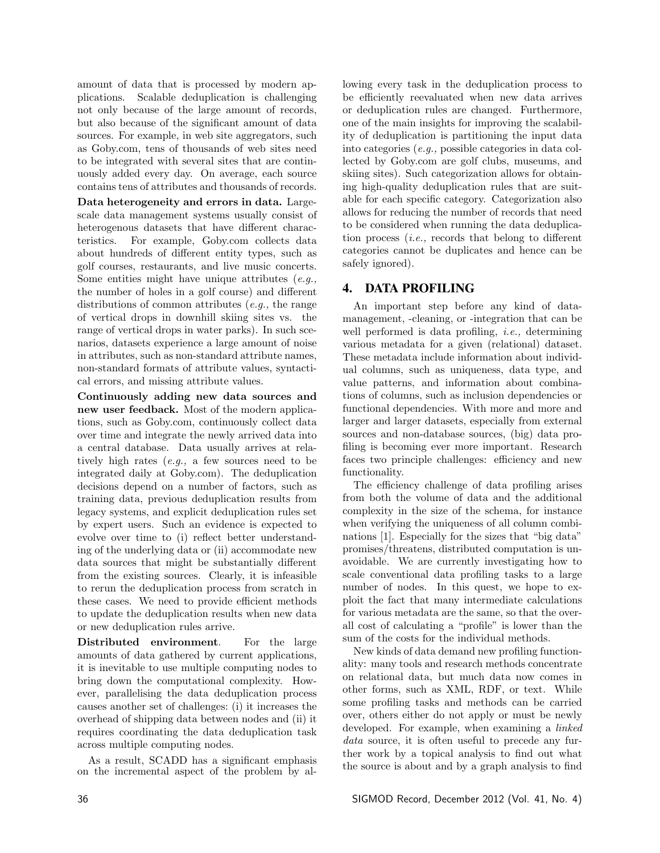amount of data that is processed by modern applications. Scalable deduplication is challenging not only because of the large amount of records, but also because of the significant amount of data sources. For example, in web site aggregators, such as Goby.com, tens of thousands of web sites need to be integrated with several sites that are continuously added every day. On average, each source contains tens of attributes and thousands of records.

Data heterogeneity and errors in data. Largescale data management systems usually consist of heterogenous datasets that have different characteristics. For example, Goby.com collects data about hundreds of different entity types, such as golf courses, restaurants, and live music concerts. Some entities might have unique attributes  $(e.g.,)$ the number of holes in a golf course) and different distributions of common attributes (e.g., the range of vertical drops in downhill skiing sites vs. the range of vertical drops in water parks). In such scenarios, datasets experience a large amount of noise in attributes, such as non-standard attribute names, non-standard formats of attribute values, syntactical errors, and missing attribute values.

Continuously adding new data sources and new user feedback. Most of the modern applications, such as Goby.com, continuously collect data over time and integrate the newly arrived data into a central database. Data usually arrives at relatively high rates (e.g., a few sources need to be integrated daily at Goby.com). The deduplication decisions depend on a number of factors, such as training data, previous deduplication results from legacy systems, and explicit deduplication rules set by expert users. Such an evidence is expected to evolve over time to (i) reflect better understanding of the underlying data or (ii) accommodate new data sources that might be substantially different from the existing sources. Clearly, it is infeasible to rerun the deduplication process from scratch in these cases. We need to provide efficient methods to update the deduplication results when new data or new deduplication rules arrive.

Distributed environment. For the large amounts of data gathered by current applications, it is inevitable to use multiple computing nodes to bring down the computational complexity. However, parallelising the data deduplication process causes another set of challenges: (i) it increases the overhead of shipping data between nodes and (ii) it requires coordinating the data deduplication task across multiple computing nodes.

As a result, SCADD has a significant emphasis on the incremental aspect of the problem by allowing every task in the deduplication process to be efficiently reevaluated when new data arrives or deduplication rules are changed. Furthermore, one of the main insights for improving the scalability of deduplication is partitioning the input data into categories (e.g., possible categories in data collected by Goby.com are golf clubs, museums, and skiing sites). Such categorization allows for obtaining high-quality deduplication rules that are suitable for each specific category. Categorization also allows for reducing the number of records that need to be considered when running the data deduplication process  $(i.e.,$  records that belong to different categories cannot be duplicates and hence can be safely ignored).

## 4. DATA PROFILING

An important step before any kind of datamanagement, -cleaning, or -integration that can be well performed is data profiling, *i.e.*, determining various metadata for a given (relational) dataset. These metadata include information about individual columns, such as uniqueness, data type, and value patterns, and information about combinations of columns, such as inclusion dependencies or functional dependencies. With more and more and larger and larger datasets, especially from external sources and non-database sources, (big) data profiling is becoming ever more important. Research faces two principle challenges: efficiency and new functionality.

The efficiency challenge of data profiling arises from both the volume of data and the additional complexity in the size of the schema, for instance when verifying the uniqueness of all column combinations [1]. Especially for the sizes that "big data" promises/threatens, distributed computation is unavoidable. We are currently investigating how to scale conventional data profiling tasks to a large number of nodes. In this quest, we hope to exploit the fact that many intermediate calculations for various metadata are the same, so that the overall cost of calculating a "profile" is lower than the sum of the costs for the individual methods.

New kinds of data demand new profiling functionality: many tools and research methods concentrate on relational data, but much data now comes in other forms, such as XML, RDF, or text. While some profiling tasks and methods can be carried over, others either do not apply or must be newly developed. For example, when examining a *linked* data source, it is often useful to precede any further work by a topical analysis to find out what the source is about and by a graph analysis to find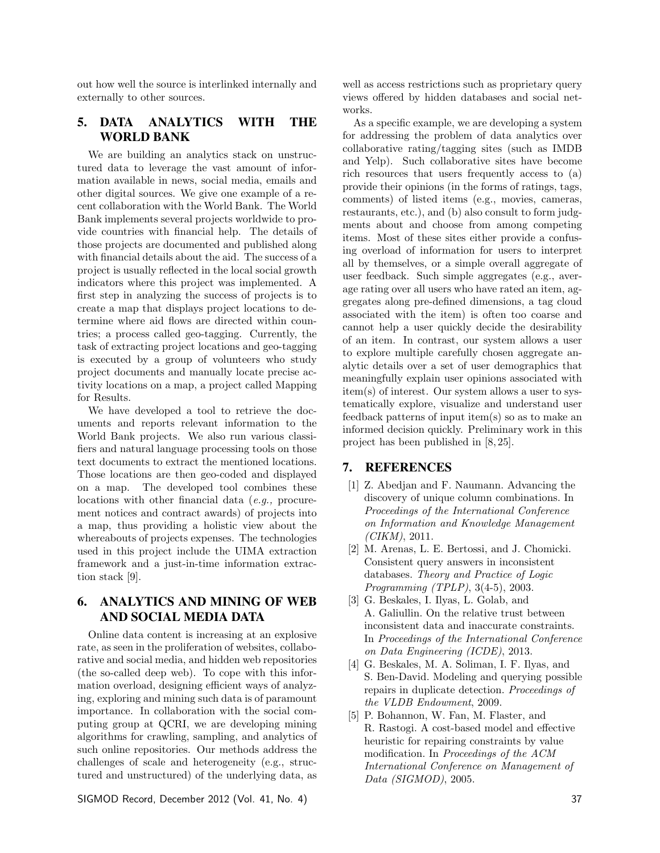out how well the source is interlinked internally and externally to other sources.

## 5. DATA ANALYTICS WITH THE WORLD BANK

We are building an analytics stack on unstructured data to leverage the vast amount of information available in news, social media, emails and other digital sources. We give one example of a recent collaboration with the World Bank. The World Bank implements several projects worldwide to provide countries with financial help. The details of those projects are documented and published along with financial details about the aid. The success of a project is usually reflected in the local social growth indicators where this project was implemented. A first step in analyzing the success of projects is to create a map that displays project locations to determine where aid flows are directed within countries; a process called geo-tagging. Currently, the task of extracting project locations and geo-tagging is executed by a group of volunteers who study project documents and manually locate precise activity locations on a map, a project called Mapping for Results.

We have developed a tool to retrieve the documents and reports relevant information to the World Bank projects. We also run various classifiers and natural language processing tools on those text documents to extract the mentioned locations. Those locations are then geo-coded and displayed on a map. The developed tool combines these locations with other financial data (e.g., procurement notices and contract awards) of projects into a map, thus providing a holistic view about the whereabouts of projects expenses. The technologies used in this project include the UIMA extraction framework and a just-in-time information extraction stack [9].

## 6. ANALYTICS AND MINING OF WEB AND SOCIAL MEDIA DATA

Online data content is increasing at an explosive rate, as seen in the proliferation of websites, collaborative and social media, and hidden web repositories (the so-called deep web). To cope with this information overload, designing efficient ways of analyzing, exploring and mining such data is of paramount importance. In collaboration with the social computing group at QCRI, we are developing mining algorithms for crawling, sampling, and analytics of such online repositories. Our methods address the challenges of scale and heterogeneity (e.g., structured and unstructured) of the underlying data, as

SIGMOD Record, December 2012 (Vol. 41, No. 4) 37

well as access restrictions such as proprietary query views offered by hidden databases and social networks.

As a specific example, we are developing a system for addressing the problem of data analytics over collaborative rating/tagging sites (such as IMDB and Yelp). Such collaborative sites have become rich resources that users frequently access to (a) provide their opinions (in the forms of ratings, tags, comments) of listed items (e.g., movies, cameras, restaurants, etc.), and (b) also consult to form judgments about and choose from among competing items. Most of these sites either provide a confusing overload of information for users to interpret all by themselves, or a simple overall aggregate of user feedback. Such simple aggregates (e.g., average rating over all users who have rated an item, aggregates along pre-defined dimensions, a tag cloud associated with the item) is often too coarse and cannot help a user quickly decide the desirability of an item. In contrast, our system allows a user to explore multiple carefully chosen aggregate analytic details over a set of user demographics that meaningfully explain user opinions associated with item(s) of interest. Our system allows a user to systematically explore, visualize and understand user feedback patterns of input item(s) so as to make an informed decision quickly. Preliminary work in this project has been published in [8, 25].

### 7. REFERENCES

- [1] Z. Abedjan and F. Naumann. Advancing the discovery of unique column combinations. In Proceedings of the International Conference on Information and Knowledge Management (CIKM), 2011.
- [2] M. Arenas, L. E. Bertossi, and J. Chomicki. Consistent query answers in inconsistent databases. Theory and Practice of Logic Programming (TPLP), 3(4-5), 2003.
- [3] G. Beskales, I. Ilyas, L. Golab, and A. Galiullin. On the relative trust between inconsistent data and inaccurate constraints. In Proceedings of the International Conference on Data Engineering (ICDE), 2013.
- [4] G. Beskales, M. A. Soliman, I. F. Ilyas, and S. Ben-David. Modeling and querying possible repairs in duplicate detection. Proceedings of the VLDB Endowment, 2009.
- [5] P. Bohannon, W. Fan, M. Flaster, and R. Rastogi. A cost-based model and effective heuristic for repairing constraints by value modification. In Proceedings of the ACM International Conference on Management of Data (SIGMOD), 2005.